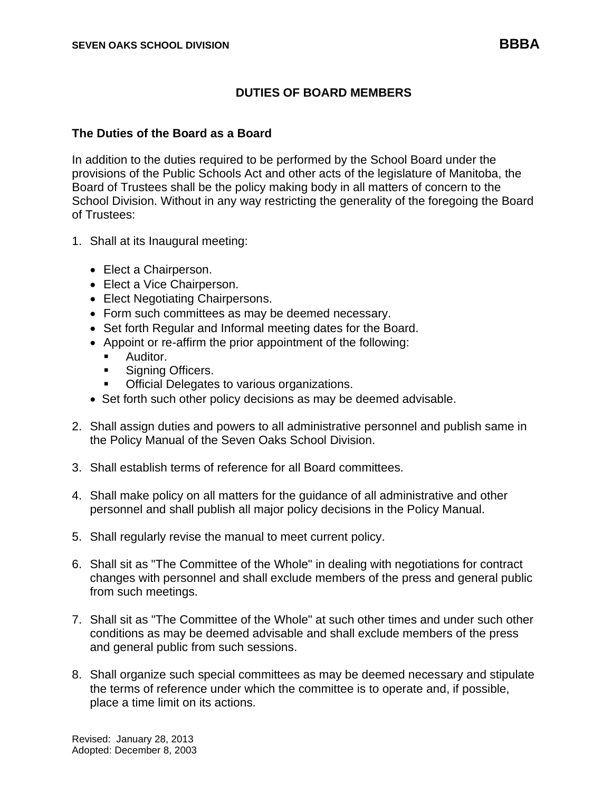## **DUTIES OF BOARD MEMBERS**

## **The Duties of the Board as a Board**

In addition to the duties required to be performed by the School Board under the provisions of the Public Schools Act and other acts of the legislature of Manitoba, the Board of Trustees shall be the policy making body in all matters of concern to the School Division. Without in any way restricting the generality of the foregoing the Board of Trustees:

- 1. Shall at its Inaugural meeting:
	- Elect a Chairperson.
	- Elect a Vice Chairperson.
	- Elect Negotiating Chairpersons.
	- Form such committees as may be deemed necessary.
	- Set forth Regular and Informal meeting dates for the Board.
	- Appoint or re-affirm the prior appointment of the following:
		- Auditor.
		- Signing Officers.
		- Official Delegates to various organizations.
	- Set forth such other policy decisions as may be deemed advisable.
- 2. Shall assign duties and powers to all administrative personnel and publish same in the Policy Manual of the Seven Oaks School Division.
- 3. Shall establish terms of reference for all Board committees.
- 4. Shall make policy on all matters for the guidance of all administrative and other personnel and shall publish all major policy decisions in the Policy Manual.
- 5. Shall regularly revise the manual to meet current policy.
- 6. Shall sit as "The Committee of the Whole" in dealing with negotiations for contract changes with personnel and shall exclude members of the press and general public from such meetings.
- 7. Shall sit as "The Committee of the Whole" at such other times and under such other conditions as may be deemed advisable and shall exclude members of the press and general public from such sessions.
- 8. Shall organize such special committees as may be deemed necessary and stipulate the terms of reference under which the committee is to operate and, if possible, place a time limit on its actions.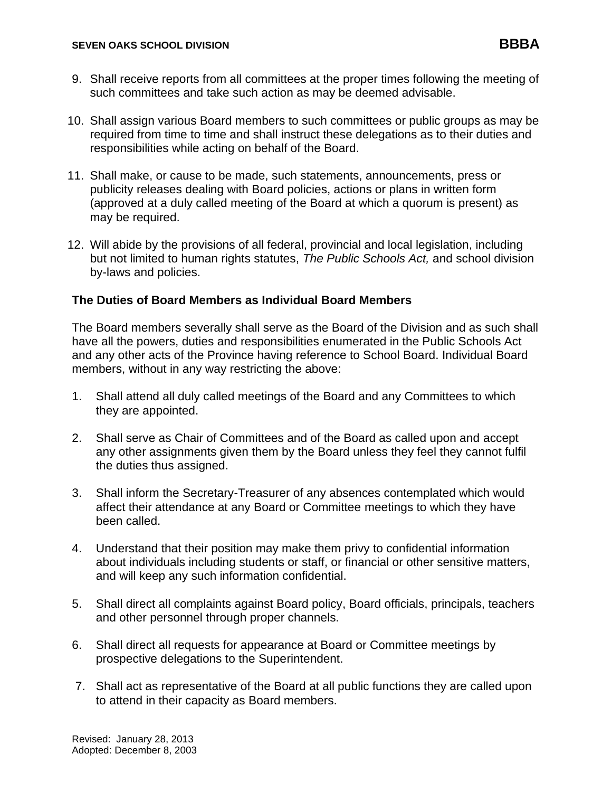- 9. Shall receive reports from all committees at the proper times following the meeting of such committees and take such action as may be deemed advisable.
- 10. Shall assign various Board members to such committees or public groups as may be required from time to time and shall instruct these delegations as to their duties and responsibilities while acting on behalf of the Board.
- 11. Shall make, or cause to be made, such statements, announcements, press or publicity releases dealing with Board policies, actions or plans in written form (approved at a duly called meeting of the Board at which a quorum is present) as may be required.
- 12. Will abide by the provisions of all federal, provincial and local legislation, including but not limited to human rights statutes, *The Public Schools Act,* and school division by-laws and policies.

## **The Duties of Board Members as Individual Board Members**

The Board members severally shall serve as the Board of the Division and as such shall have all the powers, duties and responsibilities enumerated in the Public Schools Act and any other acts of the Province having reference to School Board. Individual Board members, without in any way restricting the above:

- 1. Shall attend all duly called meetings of the Board and any Committees to which they are appointed.
- 2. Shall serve as Chair of Committees and of the Board as called upon and accept any other assignments given them by the Board unless they feel they cannot fulfil the duties thus assigned.
- 3. Shall inform the Secretary-Treasurer of any absences contemplated which would affect their attendance at any Board or Committee meetings to which they have been called.
- 4. Understand that their position may make them privy to confidential information about individuals including students or staff, or financial or other sensitive matters, and will keep any such information confidential.
- 5. Shall direct all complaints against Board policy, Board officials, principals, teachers and other personnel through proper channels.
- 6. Shall direct all requests for appearance at Board or Committee meetings by prospective delegations to the Superintendent.
- 7. Shall act as representative of the Board at all public functions they are called upon to attend in their capacity as Board members.